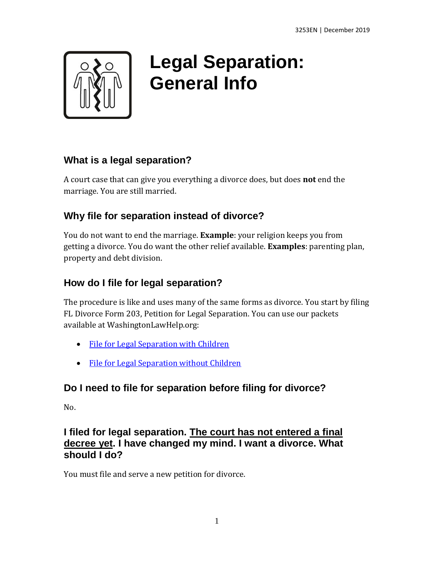

# **Legal Separation: General Info**

## **What is a legal separation?**

A court case that can give you everything a divorce does, but does **not** end the marriage. You are still married.

## **Why file for separation instead of divorce?**

You do not want to end the marriage. **Example**: your religion keeps you from getting a divorce. You do want the other relief available. **Examples**: parenting plan, property and debt division.

## **How do I file for legal separation?**

The procedure is like and uses many of the same forms as divorce. You start by filing FL Divorce Form 203, Petition for Legal Separation. You can use our packets available at WashingtonLawHelp.org:

- [File for Legal Separation with Children](https://www.washingtonlawhelp.org/resource/file-for-legal-separation-with-children)
- [File for Legal Separation without Children](https://www.washingtonlawhelp.org/resource/file-for-legal-separation-without-children)

## **Do I need to file for separation before filing for divorce?**

No.

#### **I filed for legal separation. The court has not entered a final decree yet. I have changed my mind. I want a divorce. What should I do?**

You must file and serve a new petition for divorce.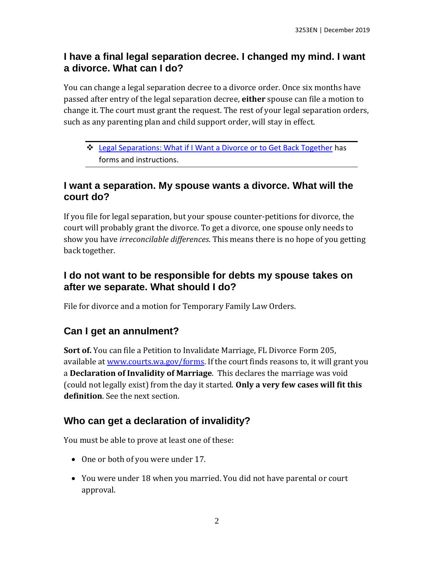#### **I have a final legal separation decree. I changed my mind. I want a divorce. What can I do?**

You can change a legal separation decree to a divorce order. Once six months have passed after entry of the legal separation decree, **either** spouse can file a motion to change it. The court must grant the request. The rest of your legal separation orders, such as any parenting plan and child support order, will stay in effect.

❖ [Legal Separations: What if I Want a Divorce or to Get Back Together](http://www.washingtonlawhelp.org/resource/legal-separations-what-if-i-want-a-divorce-or?ref=tZ0uS) has forms and instructions.

#### **I want a separation. My spouse wants a divorce. What will the court do?**

If you file for legal separation, but your spouse counter-petitions for divorce, the court will probably grant the divorce. To get a divorce, one spouse only needs to show you have *irreconcilable differences*. This means there is no hope of you getting back together.

#### **I do not want to be responsible for debts my spouse takes on after we separate. What should I do?**

File for divorce and a motion for Temporary Family Law Orders.

### **Can I get an annulment?**

**Sort of.** You can file a Petition to Invalidate Marriage, FL Divorce Form 205, available at [www.courts.wa.gov/forms.](http://www.courts.wa.gov/forms) If the court finds reasons to, it will grant you a **Declaration of Invalidity of Marriage**. This declares the marriage was void (could not legally exist) from the day it started. **Only a very few cases will fit this definition**. See the next section.

### **Who can get a declaration of invalidity?**

You must be able to prove at least one of these:

- One or both of you were under 17.
- You were under 18 when you married. You did not have parental or court approval.